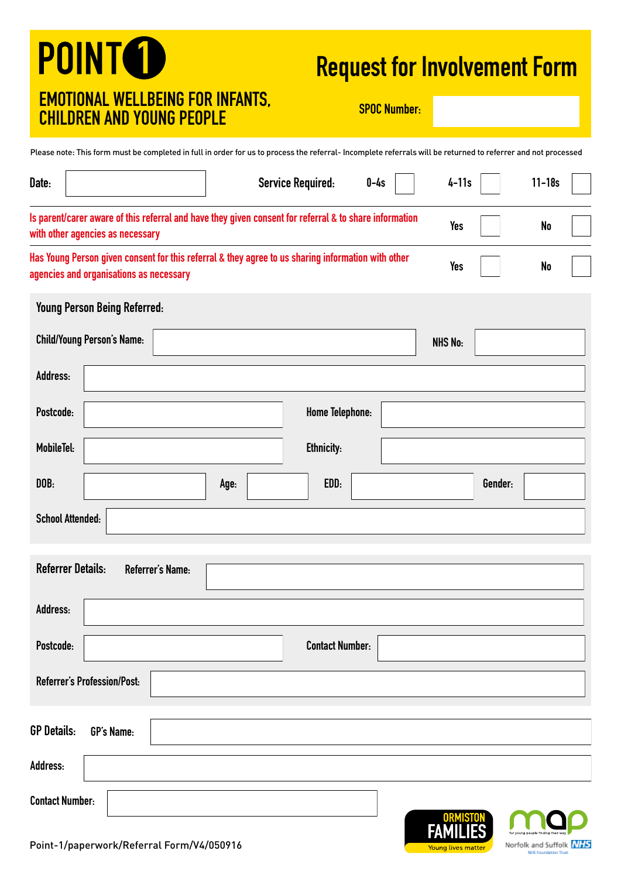# **POINT<sup>O</sup>** EMOTIONAL WELLBEING FOR INFANTS, EMOTIONAL WELLDEING FON INFANTO, SPOC Number:<br>CHILDREN AND YOUNG PEOPLE

## Request for Involvement Form

Norfolk and Suffolk NHS

Please note: This form must be completed in full in order for us to process the referral- Incomplete referrals will be returned to referrer and not processed

| Date:              |                                                                                                                                               | <b>Service Required:</b> |                        | $0-4s$ | $4-11s$         |         | $11 - 18s$ |
|--------------------|-----------------------------------------------------------------------------------------------------------------------------------------------|--------------------------|------------------------|--------|-----------------|---------|------------|
|                    | Is parent/carer aware of this referral and have they given consent for referral & to share information<br>with other agencies as necessary    |                          |                        |        | <b>Yes</b>      |         | No         |
|                    | Has Young Person given consent for this referral & they agree to us sharing information with other<br>agencies and organisations as necessary |                          |                        |        | <b>Yes</b>      |         | No         |
|                    | Young Person Being Referred:                                                                                                                  |                          |                        |        |                 |         |            |
|                    | <b>Child/Young Person's Name:</b>                                                                                                             |                          |                        |        | <b>NHS No:</b>  |         |            |
| Address:           |                                                                                                                                               |                          |                        |        |                 |         |            |
| Postcode:          |                                                                                                                                               |                          | Home Telephone:        |        |                 |         |            |
| MobileTel:         |                                                                                                                                               |                          | <b>Ethnicity:</b>      |        |                 |         |            |
| DOB:               |                                                                                                                                               | Age:                     | EDD:                   |        |                 | Gender: |            |
|                    | <b>School Attended:</b>                                                                                                                       |                          |                        |        |                 |         |            |
|                    | <b>Referrer Details:</b><br>Referrer's Name:                                                                                                  |                          |                        |        |                 |         |            |
| Address:           |                                                                                                                                               |                          |                        |        |                 |         |            |
| Postcode:          |                                                                                                                                               |                          | <b>Contact Number:</b> |        |                 |         |            |
|                    | Referrer's Profession/Post:                                                                                                                   |                          |                        |        |                 |         |            |
| <b>GP Details:</b> | <b>GP's Name:</b>                                                                                                                             |                          |                        |        |                 |         |            |
| Address:           |                                                                                                                                               |                          |                        |        |                 |         |            |
|                    | <b>Contact Number:</b>                                                                                                                        |                          |                        |        | <b>ORMISTON</b> |         |            |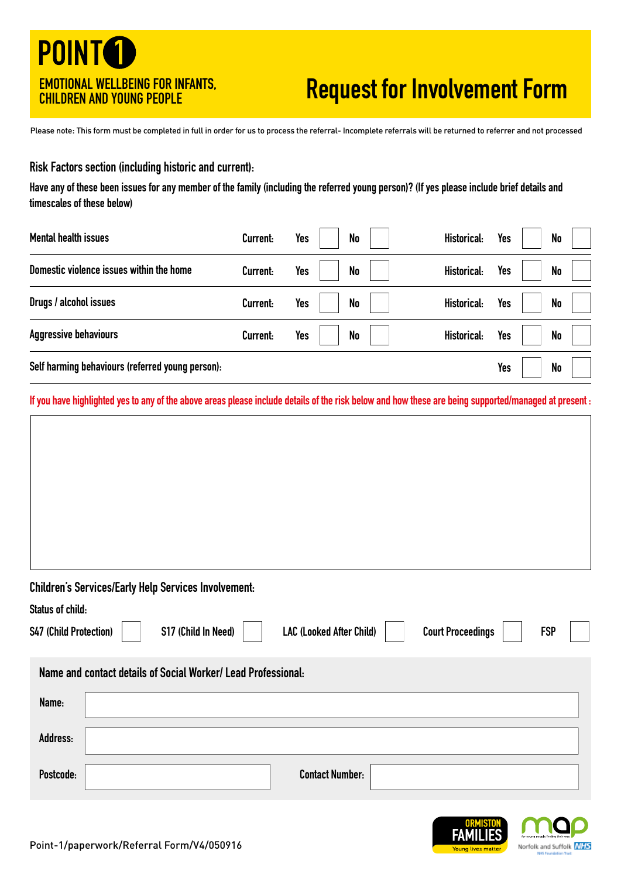## **POINTO** EMOTIONAL WELLBEING FOR INFANTS, CHILDREN AND YOUNG PEOPLE

# Request for Involvement Form

Please note: This form must be completed in full in order for us to process the referral- Incomplete referrals will be returned to referrer and not processed

#### Risk Factors section (including historic and current):

Have any of these been issues for any member of the family (including the referred young person)? (If yes please include brief details and timescales of these below)

| <b>Mental health issues</b>                      | Current: | Yes | No | Historical:        | Yes        | <b>No</b>      |  |
|--------------------------------------------------|----------|-----|----|--------------------|------------|----------------|--|
| Domestic violence issues within the home         | Current: | Yes | No | Historical:        | Yes        | <b>No</b>      |  |
| Drugs / alcohol issues                           | Current: | Yes | No | Historical:        | <b>Yes</b> | <b>No</b>      |  |
| <b>Aggressive behaviours</b>                     | Current: | Yes | No | <b>Historical:</b> | <b>Yes</b> | <b>No</b>      |  |
| Self harming behaviours (referred young person): |          |     |    |                    | Yes        | N <sub>o</sub> |  |

If you have highlighted yes to any of the above areas please include details of the risk below and how these are being supported/managed at present :

### Children's Services/Early Help Services Involvement:

| Status of child:              |                                                               |                          |                          |            |  |
|-------------------------------|---------------------------------------------------------------|--------------------------|--------------------------|------------|--|
| <b>S47 (Child Protection)</b> | S17 (Child In Need)                                           | LAC (Looked After Child) | <b>Court Proceedings</b> | <b>FSP</b> |  |
|                               | Name and contact details of Social Worker/ Lead Professional: |                          |                          |            |  |
| Name:                         |                                                               |                          |                          |            |  |
| Address:                      |                                                               |                          |                          |            |  |
| Postcode:                     |                                                               | <b>Contact Number:</b>   |                          |            |  |

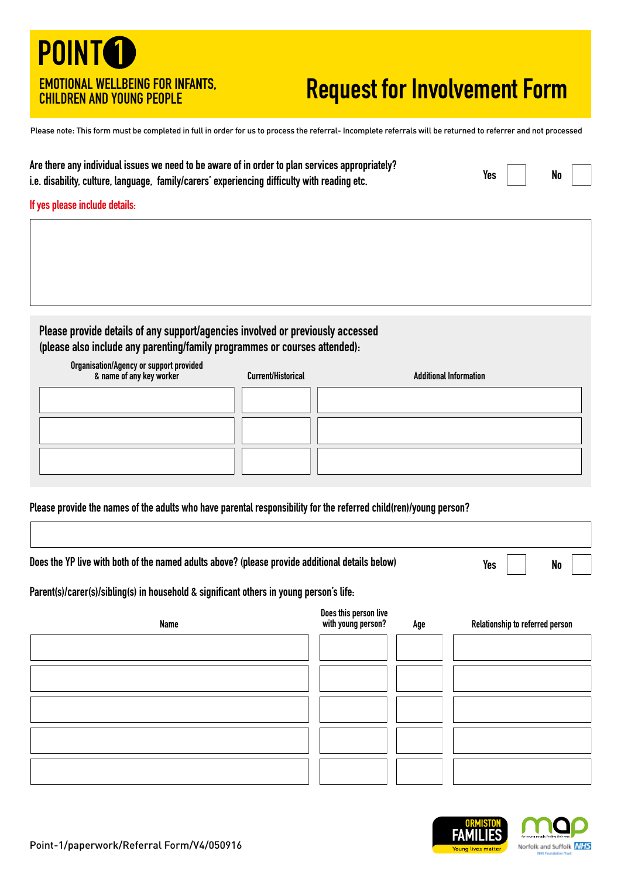### **POINTO** EMOTIONAL WELLBEING FOR INFANTS, CHILDREN AND YOUNG PEOPLE

## Request for Involvement Form

Please note: This form must be completed in full in order for us to process the referral- Incomplete referrals will be returned to referrer and not processed

| Are there any individual issues we need to be aware of in order to plan services appropriately? |            |                          |  |
|-------------------------------------------------------------------------------------------------|------------|--------------------------|--|
| i.e. disability, culture, language, family/carers' experiencing difficulty with reading etc.    | Yes $\Box$ | $\overline{\mathsf{No}}$ |  |

#### If yes please include details:

Please provide details of any support/agencies involved or previously accessed (please also include any parenting/family programmes or courses attended):

| Organisation/Agency or support provided<br>& name of any key worker | Current/Historical | <b>Additional Information</b> |
|---------------------------------------------------------------------|--------------------|-------------------------------|
|                                                                     |                    |                               |
|                                                                     |                    |                               |
|                                                                     |                    |                               |

Please provide the names of the adults who have parental responsibility for the referred child(ren)/young person?

| Does the YP live with both of the named adults above? (please provide additional details below) |  | Yes $\vert$ $\vert$ No $\vert$ $\vert$ |  |  |  |
|-------------------------------------------------------------------------------------------------|--|----------------------------------------|--|--|--|
| Parent(s)/carer(s)/sibling(s) in household & significant others in young person's life.         |  |                                        |  |  |  |
| <b>Does this nerson live</b>                                                                    |  |                                        |  |  |  |

| <b>Name</b> | boes this person ave<br>with young person? | Age | Relationship to referred person |
|-------------|--------------------------------------------|-----|---------------------------------|
|             |                                            |     |                                 |
|             |                                            |     |                                 |
|             |                                            |     |                                 |
|             |                                            |     |                                 |
|             |                                            |     |                                 |